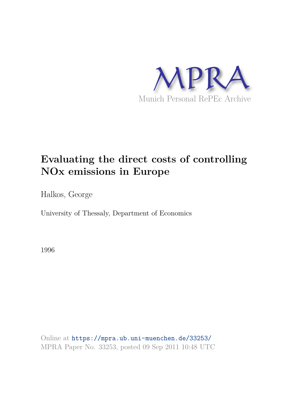

# **Evaluating the direct costs of controlling NOx emissions in Europe**

Halkos, George

University of Thessaly, Department of Economics

1996

Online at https://mpra.ub.uni-muenchen.de/33253/ MPRA Paper No. 33253, posted 09 Sep 2011 10:48 UTC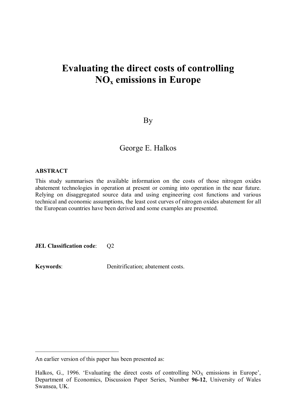## **Evaluating the direct costs of controlling NOx emissions in Europe**

By

### George E. Ηalkos

#### **ABSTRACT**

This study summarises the available information on the costs of those nitrogen oxides abatement technologies in operation at present or coming into operation in the near future. Relying on disaggregated source data and using engineering cost functions and various technical and economic assumptions, the least cost curves of nitrogen oxides abatement for all the European countries have been derived and some examples are presented.

**JEL Classification code:**  $Q2$ 

**Keywords**: Denitrification; abatement costs.

\_\_\_\_\_\_\_\_\_\_\_\_\_\_\_\_\_\_\_\_\_\_\_\_\_\_\_\_

An earlier version of this paper has been presented as:

Halkos, G., 1996. 'Evaluating the direct costs of controlling  $NO<sub>x</sub>$  emissions in Europe', Department of Economics, Discussion Paper Series, Number **96-12**, University of Wales Swansea, UK.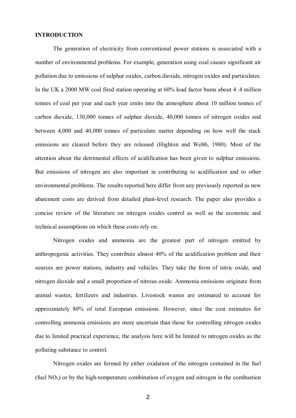#### **INTRODUCTION**

The generation of electricity from conventional power stations is associated with a number of environmental problems. For example, generation using coal causes significant air pollution due to emissions of sulphur oxides, carbon dioxide, nitrogen oxides and particulates. In the UK a 2000 MW coal fired station operating at 60% load factor bums about 4 .4 million tonnes of coal per year and each year emits into the atmosphere about 10 million tonnes of carbon dioxide, 130,000 tonnes of sulphur dioxide, 40,000 tonnes of nitrogen oxides and between 4,000 and 40,000 tonnes of particulate matter depending on how well the stack emissions are cleared before they are released (Highton and Webb, 1980). Most of the attention about the detrimental effects of acidification has been given to sulphur emissions. But emissions of nitrogen are also important in contributing to acidification and to other environmental problems. The results reported here differ from any previously reported as new abatement costs are derived from detailed plant-level research. The paper also provides a concise review of the literature on nitrogen oxides control as well as the economic and technical assumptions on which these costs rely on.

Nitrogen oxides and ammonia are the greatest part of nitrogen emitted by anthropogenic activities. They contribute almost 40% of the acidification problem and their sources are power stations, industry and vehicles. They take the form of nitric oxide, and nitrogen dioxide and a small proportion of nitrous oxide. Ammonia emissions originate from animal wastes, fertilizers and industries. Livestock wastes are estimated to account for approximately 80% of total European emissions. However, since the cost estimates for controlling ammonia emissions are more uncertain than those for controlling nitrogen oxides due to limited practical experience, the analysis here will be limited to nitrogen oxides as the polluting substance to control.

Nitrogen oxides are formed by either oxidation of the nitrogen contained in the fuel (fuel  $NO<sub>x</sub>$ ) or by the high-temperature combination of oxygen and nitrogen in the combustion

2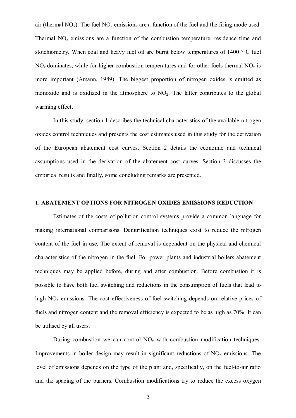air (thermal  $NO_x$ ). The fuel  $NO_x$  emissions are a function of the fuel and the firing mode used. Thermal  $NO<sub>x</sub>$  emissions are a function of the combustion temperature, residence time and stoichiometry. When coal and heavy fuel oil are burnt below temperatures of 1400 ° C fuel  $NO<sub>x</sub>$  dominates, while for higher combustion temperatures and for other fuels thermal  $NO<sub>x</sub>$  is more important (Amann, 1989). The biggest proportion of nitrogen oxides is emitted as monoxide and is oxidized in the atmosphere to  $NO<sub>2</sub>$ . The latter contributes to the global warming effect.

In this study, section 1 describes the technical characteristics of the available nitrogen oxides control techniques and presents the cost estimates used in this study for the derivation of the European abatement cost curves. Section 2 details the economic and technical assumptions used in the derivation of the abatement cost curves. Section 3 discusses the empirical results and finally, some concluding remarks are presented.

#### **1. ABATEMENT OPTIONS FOR NITROGEN OXIDES EMISSIONS REDUCTION**

Estimates of the costs of pollution control systems provide a common language for making international comparisons. Denitrification techniques exist to reduce the nitrogen content of the fuel in use. The extent of removal is dependent on the physical and chemical characteristics of the nitrogen in the fuel. For power plants and industrial boilers abatement techniques may be applied before, during and after combustion. Before combustion it is possible to have both fuel switching and reductions in the consumption of fuels that lead to high  $NO<sub>x</sub>$  emissions. The cost effectiveness of fuel switching depends on relative prices of fuels and nitrogen content and the removal efficiency is expected to be as high as 70%. It can be utilised by all users.

During combustion we can control  $NO<sub>x</sub>$  with combustion modification techniques. Improvements in boiler design may result in significant reductions of  $NO<sub>x</sub>$  emissions. The level of emissions depends on the type of the plant and, specifically, on the fuel-to-air ratio and the spacing of the burners. Combustion modifications try to reduce the excess oxygen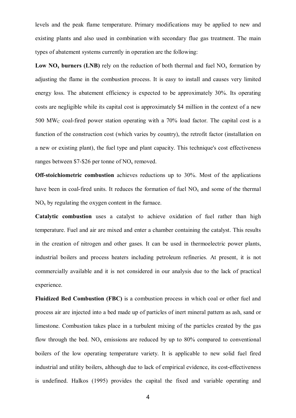levels and the peak flame temperature. Primary modifications may be applied to new and existing plants and also used in combination with secondary flue gas treatment. The main types of abatement systems currently in operation are the following:

**Low NO<sub>x</sub>** burners (LNB) rely on the reduction of both thermal and fuel NO<sub>x</sub> formation by adjusting the flame in the combustion process. It is easy to install and causes very limited energy loss. The abatement efficiency is expected to be approximately 30%. Its operating costs are negligible while its capital cost is approximately \$4 million in the context of a new  $500$  MW<sub>C</sub> coal-fired power station operating with a  $70\%$  load factor. The capital cost is a function of the construction cost (which varies by country), the retrofit factor (installation on a new or existing plant), the fuel type and plant capacity. This technique's cost effectiveness ranges between  $$7-$26$  per tonne of NO<sub>x</sub> removed.

**Off-stoichiometric combustion** achieves reductions up to 30%. Most of the applications have been in coal-fired units. It reduces the formation of fuel  $NO<sub>x</sub>$  and some of the thermal  $NO<sub>x</sub>$  by regulating the oxygen content in the furnace.

**Catalytic combustion** uses a catalyst to achieve oxidation of fuel rather than high temperature. Fuel and air are mixed and enter a chamber containing the catalyst. This results in the creation of nitrogen and other gases. It can be used in thermoelectric power plants, industrial boilers and process heaters including petroleum refineries. At present, it is not commercially available and it is not considered in our analysis due to the lack of practical experience.

**Fluidized Bed Combustion (FBC)** is a combustion process in which coal or other fuel and process air are injected into a bed made up of particles of inert mineral pattern as ash, sand or limestone. Combustion takes place in a turbulent mixing of the particles created by the gas flow through the bed.  $NO<sub>x</sub>$  emissions are reduced by up to 80% compared to conventional boilers of the low operating temperature variety. It is applicable to new solid fuel fired industrial and utility boilers, although due to lack of empirical evidence, its cost-effectiveness is undefined. Halkos (1995) provides the capital the fixed and variable operating and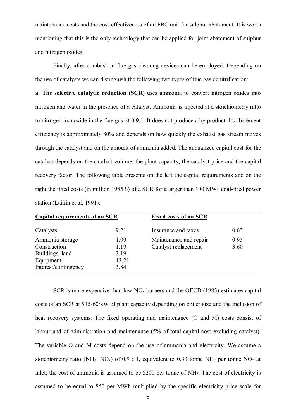maintenance costs and the cost-effectiveness of an FBC unit for sulphur abatement. It is worth mentioning that this is the only technology that can be applied for joint abatement of sulphur and nitrogen oxides.

Finally, after combustion flue gas cleaning devices can be employed. Depending on the use of catalysts we can distinguish the following two types of flue gas denitrification:

**a. The selective catalytic reduction (SCR)** uses ammonia to convert nitrogen oxides into nitrogen and water in the presence of a catalyst. Ammonia is injected at a stoichiometry ratio to nitrogen monoxide in the flue gas of 0.9:1. It does not produce a by-product. Its abatement efficiency is approximately 80% and depends on how quickly the exhaust gas stream moves through the catalyst and on the amount of ammonia added. The annualized capital cost for the catalyst depends on the catalyst volume, the plant capacity, the catalyst price and the capital recovery factor. The following table presents on the left the capital requirements and on the right the fixed costs (in million 1985 \$) of a SCR for a larger than 100  $\text{MW}_C$  coal-fired power station (Laikin et al, 1991).

| <b>Capital requirements of an SCR</b> |       | <b>Fixed costs of an SCR</b> |      |  |
|---------------------------------------|-------|------------------------------|------|--|
| Catalysts                             | 9.21  | Insurance and taxes          | 0.63 |  |
| Ammonia storage                       | 1.09  | Maintenance and repair       | 0.95 |  |
| Construction                          | 1.19  | Catalyst replacement         | 3.60 |  |
| Buildings, land                       | 3.19  |                              |      |  |
| Equipment                             | 13.21 |                              |      |  |
| Interest/contingency                  | 3.84  |                              |      |  |

SCR is more expensive than low  $NO<sub>x</sub>$  burners and the OECD (1983) estimates capital costs of an SCR at \$15-60/kW of plant capacity depending on boiler size and the inclusion of heat recovery systems. The fixed operating and maintenance (O and M) costs consist of labour and of administration and maintenance (5% of total capital cost excluding catalyst). The variable O and M costs depend on the use of ammonia and electricity. We assume a stoichiometry ratio (NH<sub>3</sub>: NO<sub>x</sub>) of 0.9 : 1, equivalent to 0.33 tonne NH<sub>3</sub> per tonne NO<sub>x</sub> at inlet; the cost of ammonia is assumed to be \$200 per tonne of NH<sub>3</sub>. The cost of electricity is assumed to be equal to \$50 per MWh multiplied by the specific electricity price scale for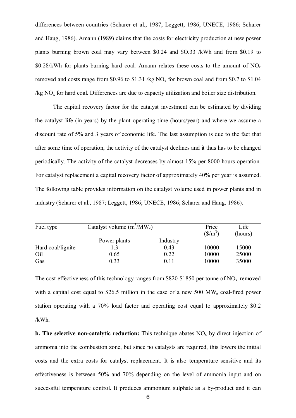differences between countries (Scharer et al., 1987; Leggett, 1986; UNECE, 1986; Scharer and Haug, 1986). Amann (1989) claims that the costs for electricity production at new power plants burning brown coal may vary between \$0.24 and \$O.33 /kWh and from \$0.19 to \$0.28/kWh for plants burning hard coal. Amann relates these costs to the amount of  $NO<sub>x</sub>$ removed and costs range from \$0.96 to \$1.31 /kg  $NO_x$  for brown coal and from \$0.7 to \$1.04  $\log NO_x$  for hard coal. Differences are due to capacity utilization and boiler size distribution.

The capital recovery factor for the catalyst investment can be estimated by dividing the catalyst life (in years) by the plant operating time (hours/year) and where we assume a discount rate of 5% and 3 years of economic life. The last assumption is due to the fact that after some time of operation, the activity of the catalyst declines and it thus has to be changed periodically. The activity of the catalyst decreases by almost 15% per 8000 hours operation. For catalyst replacement a capital recovery factor of approximately 40% per year is assumed. The following table provides information on the catalyst volume used in power plants and in industry (Scharer et al., 1987; Leggett, 1986; UNECE, 1986; Scharer and Haug, 1986).

| Fuel type         | Catalyst volume $(m^3/MW_e)$ | Price<br>$(\frac{\text{S}}{\text{m}^3})$ | Life<br>(hours) |       |
|-------------------|------------------------------|------------------------------------------|-----------------|-------|
|                   | Power plants                 | Industry                                 |                 |       |
| Hard coal/lignite |                              | 0.43                                     | 10000           | 15000 |
| Oil               | 0.65                         | 0.22                                     | 10000           | 25000 |
| Gas               | 0.33                         | 0.11                                     | 10000           | 35000 |

The cost effectiveness of this technology ranges from \$820-\$1850 per tonne of  $NO<sub>x</sub>$  removed with a capital cost equal to \$26.5 million in the case of a new 500 MW<sub>e</sub> coal-fired power station operating with a 70% load factor and operating cost equal to approximately \$0.2 /kWh.

**b. The selective non-catalytic reduction:** This technique abates  $NO<sub>x</sub>$  by direct injection of ammonia into the combustion zone, but since no catalysts are required, this lowers the initial costs and the extra costs for catalyst replacement. It is also temperature sensitive and its effectiveness is between 50% and 70% depending on the level of ammonia input and on successful temperature control. It produces ammonium sulphate as a by-product and it can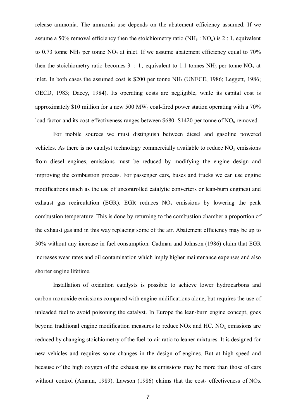release ammonia. The ammonia use depends on the abatement efficiency assumed. If we assume a 50% removal efficiency then the stoichiometry ratio ( $NH_3$  :  $NO_x$ ) is 2 : 1, equivalent to 0.73 tonne NH<sub>3</sub> per tonne NO<sub>x</sub> at inlet. If we assume abatement efficiency equal to 70% then the stoichiometry ratio becomes  $3 : 1$ , equivalent to 1.1 tonnes NH<sub>3</sub> per tonne NO<sub>x</sub> at inlet. In both cases the assumed cost is \$200 per tonne NH<sub>3</sub> (UNECE, 1986; Leggett, 1986; OECD, 1983; Dacey, 1984). Its operating costs are negligible, while its capital cost is approximately \$10 million for a new 500 MW<sub>e</sub> coal-fired power station operating with a  $70\%$ load factor and its cost-effectiveness ranges between \$680- \$1420 per tonne of  $NO<sub>x</sub>$  removed.

For mobile sources we must distinguish between diesel and gasoline powered vehicles. As there is no catalyst technology commercially available to reduce  $NO<sub>x</sub>$  emissions from diesel engines, emissions must be reduced by modifying the engine design and improving the combustion process. For passenger cars, buses and trucks we can use engine modifications (such as the use of uncontrolled catalytic converters or lean-burn engines) and exhaust gas recirculation (EGR). EGR reduces  $NO<sub>x</sub>$  emissions by lowering the peak combustion temperature. This is done by returning to the combustion chamber a proportion of the exhaust gas and in this way replacing some of the air. Abatement efficiency may be up to 30% without any increase in fuel consumption. Cadman and Johnson (1986) claim that EGR increases wear rates and oil contamination which imply higher maintenance expenses and also shorter engine lifetime.

Installation of oxidation catalysts is possible to achieve lower hydrocarbons and carbon monoxide emissions compared with engine midifications alone, but requires the use of unleaded fuel to avoid poisoning the catalyst. In Europe the lean-burn engine concept, goes beyond traditional engine modification measures to reduce  $NOX$  and  $HC$ .  $NO<sub>x</sub>$  emissions are reduced by changing stoichiometry of the fuel-to-air ratio to leaner mixtures. It is designed for new vehicles and requires some changes in the design of engines. But at high speed and because of the high oxygen of the exhaust gas its emissions may be more than those of cars without control (Amann, 1989). Lawson (1986) claims that the cost- effectiveness of NOx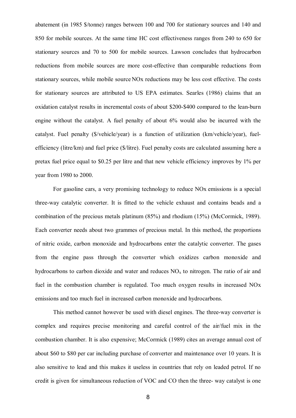abatement (in 1985 \$/tonne) ranges between 100 and 700 for stationary sources and 140 and 850 for mobile sources. At the same time HC cost effectiveness ranges from 240 to 650 for stationary sources and 70 to 500 for mobile sources. Lawson concludes that hydrocarbon reductions from mobile sources are more cost-effective than comparable reductions from stationary sources, while mobile source NOx reductions may be less cost effective. The costs for stationary sources are attributed to US EPA estimates. Searles (1986) claims that an oxidation catalyst results in incremental costs of about \$200-\$400 compared to the lean-burn engine without the catalyst. A fuel penalty of about 6% would also be incurred with the catalyst. Fuel penalty (\$/vehicle/year) is a function of utilization (km/vehicle/year), fuelefficiency (litre/km) and fuel price (\$/litre). Fuel penalty costs are calculated assuming here a pretax fuel price equal to \$0.25 per litre and that new vehicle efficiency improves by 1% per year from 1980 to 2000.

For gasoline cars, a very promising technology to reduce NOx emissions is a special three-way catalytic converter. It is fitted to the vehicle exhaust and contains beads and a combination of the precious metals platinum (85%) and rhodium (15%) (McCormick, 1989). Each converter needs about two grammes of precious metal. In this method, the proportions of nitric oxide, carbon monoxide and hydrocarbons enter the catalytic converter. The gases from the engine pass through the converter which oxidizes carbon monoxide and hydrocarbons to carbon dioxide and water and reduces  $NO<sub>x</sub>$  to nitrogen. The ratio of air and fuel in the combustion chamber is regulated. Too much oxygen results in increased NOx emissions and too much fuel in increased carbon monoxide and hydrocarbons.

This method cannot however be used with diesel engines. The three-way converter is complex and requires precise monitoring and careful control of the air/fuel mix in the combustion chamber. It is also expensive; McCormick (1989) cites an average annual cost of about \$60 to \$80 per car including purchase of converter and maintenance over 10 years. It is also sensitive to lead and this makes it useless in countries that rely on leaded petrol. If no credit is given for simultaneous reduction of VOC and CO then the three- way catalyst is one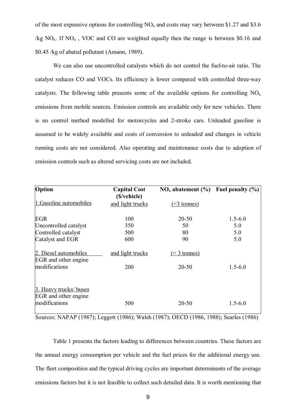of the most expensive options for controlling  $NO<sub>x</sub>$  and costs may vary between \$1.27 and \$3.6 /kg  $NO<sub>x</sub>$ . If  $NO<sub>x</sub>$ , VOC and CO are weighted equally then the range is between \$0.16 and \$0.45 /kg of abated pollutant (Amann, 1989).

We can also use uncontrolled catalysts which do not control the fuel-to-air ratio. The catalyst reduces CO and VOCs. Its efficiency is lower compared with controlled three-way catalysts. The following table presents some of the available options for controlling  $NO<sub>x</sub>$ emissions from mobile sources. Emission controls are available only for new vehicles. There is no control method modelled for motorcycles and 2-stroke cars. Unleaded gasoline is assumed to be widely available and costs of conversion to unleaded and changes in vehicle running costs are not considered. Also operating and maintenance costs due to adoption of emission controls such as altered servicing costs are not included.

| Option                                                          | <b>Capital Cost</b><br>(\$/vehicle) | $NOx$ abatement (%) Fuel penalty (%) |             |
|-----------------------------------------------------------------|-------------------------------------|--------------------------------------|-------------|
| 1. Gasoline automobiles                                         | and light trucks                    | $($ $\leq$ 3 tonnes)                 |             |
| <b>EGR</b>                                                      | 100                                 | $20 - 50$                            | $1.5 - 6.0$ |
| Uncontrolled catalyst                                           | 350                                 | 50                                   | 5.0         |
| Controlled catalyst                                             | 500                                 | 80                                   | 5.0         |
| Catalyst and EGR                                                | 600                                 | 90                                   | 5.0         |
| 2. Diesel automobiles<br>EGR and other engine                   | and light trucks                    | $\leq$ 3 tonnes)                     |             |
| modifications                                                   | 200                                 | $20 - 50$                            | $1.5 - 6.0$ |
| 3. Heavy trucks/ buses<br>EGR and other engine<br>modifications | 500                                 | $20 - 50$                            | $1.5 - 6.0$ |

Sources: NAPAP (1987); Leggett (1986); Walsh (1987); OECD (1986, 1988); Searles (1986)

Table 1 presents the factors leading to differences between countries. These factors are the annual energy consumption per vehicle and the fuel prices for the additional energy use. The fleet composition and the typical driving cycles are important determinants of the average emissions factors but it is not feasible to collect such detailed data. It is worth mentioning that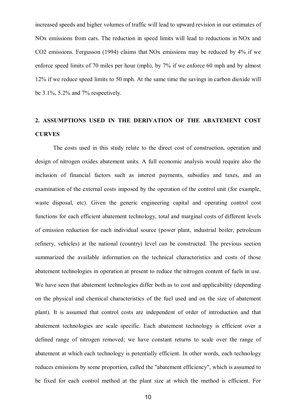increased speeds and higher volumes of traffic will lead to upward revision in our estimates of NOx emissions from cars. The reduction in speed limits will lead to reductions in NOx and CO2 emissions. Fergusson (1994) claims that NOx emissions may be reduced by 4% if we enforce speed limits of 70 miles per hour (mph), by 7% if we enforce 60 mph and by almost 12% if we reduce speed limits to 50 mph. At the same time the savings in carbon dioxide will be 3.1%, 5.2% and 7% respectively.

### **2. ASSUMPTIONS USED IN THE DERIVATION OF THE ABATEMENT COST CURVES**

The costs used in this study relate to the direct cost of construction, operation and design of nitrogen oxides abatement units. A full economic analysis would require also the inclusion of financial factors such as interest payments, subsidies and taxes, and an examination of the external costs imposed by the operation of the control unit (for example, waste disposal, etc). Given the generic engineering capital and operating control cost functions for each efficient abatement technology, total and marginal costs of different levels of emission reduction for each individual source (power plant, industrial boiler, petroleum refinery, vehicles) at the national (country) level can be constructed. The previous section summarized the available information on the technical characteristics and costs of those abatement technologies in operation at present to reduce the nitrogen content of fuels in use. We have seen that abatement technologies differ both as to cost and applicability (depending on the physical and chemical characteristics of the fuel used and on the size of abatement plant). It is assumed that control costs are independent of order of introduction and that abatement technologies are scale specific. Each abatement technology is efficient over a defined range of nitrogen removed; we have constant returns to scale over the range of abatement at which each technology is potentially efficient. In other words, each technology reduces emissions by some proportion, called the "abatement efficiency", which is assumed to be fixed for each control method at the plant size at which the method is efficient. For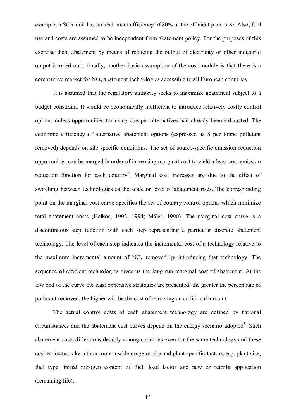example, a SCR unit has an abatement efficiency of 80% at the efficient plant size. Also, fuel use and costs are assumed to be independent from abatement policy. For the purposes of this exercise then, abatement by means of reducing the output of electricity or other industrial output is ruled out<sup>1</sup>. Finally, another basic assumption of the cost module is that there is a competitive market for  $NO<sub>x</sub>$  abatement technologies accessible to all European countries.

It is assumed that the regulatory authority seeks to maximize abatement subject to a budget constraint. It would be economically inefficient to introduce relatively costly control options unless opportunities for using cheaper alternatives had already been exhausted. The economic efficiency of alternative abatement options (expressed as \$ per tonne pollutant removed) depends on site specific conditions. The set of source-specific emission reduction opportunities can be merged in order of increasing marginal cost to yield a least cost emission reduction function for each country<sup>2</sup>. Marginal cost increases are due to the effect of switching between technologies as the scale or level of abatement rises. The corresponding point on the marginal cost curve specifies the set of country control options which minimize total abatement costs (Halkos, 1992, 1994; Mäler, 1990). The marginal cost curve is a discontinuous step function with each step representing a particular discrete abatement technology. The level of each step indicates the incremental cost of a technology relative to the maximum incremental amount of  $NO<sub>x</sub>$  removed by introducing that technology. The sequence of efficient technologies gives us the long run marginal cost of abatement. At the low end of the curve the least expensive strategies are presented; the greater the percentage of pollutant removed, the higher will be the cost of removing an additional amount.

The actual control costs of each abatement technology are defined by national circumstances and the abatement cost curves depend on the energy scenario adopted<sup>3</sup>. Such abatement costs differ considerably among countries even for the same technology and these cost estimates take into account a wide range of site and plant specific factors, e.g. plant size, fuel type, initial nitrogen content of fuel, load factor and new or retrofit application (remaining life).

11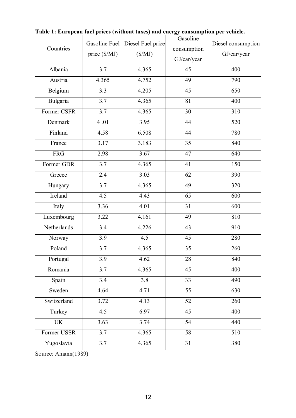| Countries   | Gasoline Fuel<br>price (\$/MJ) | Diesel Fuel price<br>$(\$/MJ)$ | Gasoline<br>consumption<br>GJ/car/year | Diesel consumption<br>GJ/car/year |
|-------------|--------------------------------|--------------------------------|----------------------------------------|-----------------------------------|
| Albania     | 3.7                            | 4.365                          | 45                                     | 400                               |
| Austria     | 4.365                          | 4.752                          | 49                                     | 790                               |
| Belgium     | 3.3                            | 4.205                          | 45                                     | 650                               |
| Bulgaria    | $\overline{3.7}$               | 4.365                          | 81                                     | 400                               |
| Former CSFR | 3.7                            | 4.365                          | 30                                     | 310                               |
| Denmark     | 4.01                           | 3.95                           | 44                                     | 520                               |
| Finland     | 4.58                           | 6.508                          | 44                                     | 780                               |
| France      | 3.17                           | 3.183                          | 35                                     | 840                               |
| <b>FRG</b>  | 2.98                           | 3.67                           | 47                                     | 640                               |
| Former GDR  | 3.7                            | 4.365                          | 41                                     | 150                               |
| Greece      | 2.4                            | 3.03                           | 62                                     | 390                               |
| Hungary     | 3.7                            | 4.365                          | 49                                     | 320                               |
| Ireland     | 4.5                            | 4.43                           | 65                                     | 600                               |
| Italy       | 3.36                           | 4.01                           | 31                                     | 600                               |
| Luxembourg  | 3.22                           | 4.161                          | 49                                     | 810                               |
| Netherlands | 3.4                            | 4.226                          | 43                                     | 910                               |
| Norway      | 3.9                            | 4.5                            | 45                                     | 280                               |
| Poland      | 3.7                            | 4.365                          | 35                                     | 260                               |
| Portugal    | 3.9                            | 4.62                           | 28                                     | 840                               |
| Romania     | 3.7                            | 4.365                          | 45                                     | 400                               |
| Spain       | 3.4                            | 3.8                            | 33                                     | 490                               |
| Sweden      | 4.64                           | 4.71                           | $\overline{55}$                        | 630                               |
| Switzerland | 3.72                           | 4.13                           | 52                                     | 260                               |
| Turkey      | 4.5                            | 6.97                           | $\overline{45}$                        | 400                               |
| <b>UK</b>   | 3.63                           | 3.74                           | 54                                     | 440                               |
| Former USSR | 3.7                            | 4.365                          | 58                                     | 510                               |
| Yugoslavia  | 3.7                            | 4.365                          | 31                                     | 380                               |

**Table 1: European fuel prices (without taxes) and energy consumption per vehicle.**

Source: Amann(1989)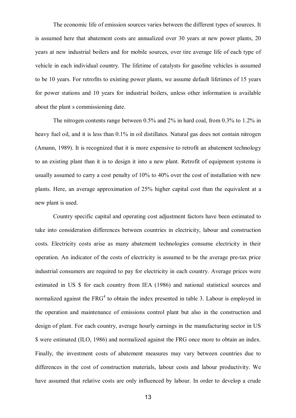The economic life of emission sources varies between the different types of sources. It is assumed here that abatement costs are annualized over 30 years at new power plants, 20 years at new industrial boilers and for mobile sources, over tire average life of each type of vehicle in each individual country. The lifetime of catalysts for gasoline vehicles is assumed to be 10 years. For retrofits to existing power plants, we assume default lifetimes of 15 years for power stations and 10 years for industrial boilers, unless other information is available about the plant s commissioning date.

The nitrogen contents range between 0.5% and 2% in hard coal, from 0.3% to 1.2% in heavy fuel oil, and it is less than  $0.1\%$  in oil distillates. Natural gas does not contain nitrogen (Amann, 1989). It is recognized that it is more expensive to retrofit an abatement technology to an existing plant than it is to design it into a new plant. Retrofit of equipment systems is usually assumed to carry a cost penalty of 10% to 40% over the cost of installation with new plants. Here, an average approximation of 25% higher capital cost than the equivalent at a new plant is used.

Country specific capital and operating cost adjustment factors have been estimated to take into consideration differences between countries in electricity, labour and construction costs. Electricity costs arise as many abatement technologies consume electricity in their operation. An indicator of the costs of electricity is assumed to be the average pre-tax price industrial consumers are required to pay for electricity in each country. Average prices were estimated in US \$ for each country from IEA (1986) and national statistical sources and normalized against the  $FRG<sup>4</sup>$  to obtain the index presented in table 3. Labour is employed in the operation and maintenance of emissions control plant but also in the construction and design of plant. For each country, average hourly earnings in the manufacturing sector in US \$ were estimated (ILO, 1986) and normalized against the FRG once more to obtain an index. Finally, the investment costs of abatement measures may vary between countries due to differences in the cost of construction materials, labour costs and labour productivity. We have assumed that relative costs are only influenced by labour. In order to develop a crude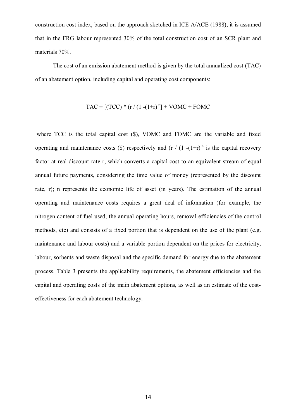construction cost index, based on the approach sketched in ICE A/ACE (1988), it is assumed that in the FRG labour represented 30% of the total construction cost of an SCR plant and materials 70%.

The cost of an emission abatement method is given by the total annualized cost (TAC) of an abatement option, including capital and operating cost components:

$$
TAC = [(TCC) * (r / (1 - (1+r)^{-n}) + VOMC + FOMC
$$

where TCC is the total capital cost  $(\$)$ , VOMC and FOMC are the variable and fixed operating and maintenance costs (\$) respectively and  $(r / (1 - (1+r))^{n}$  is the capital recovery factor at real discount rate r, which converts a capital cost to an equivalent stream of equal annual future payments, considering the time value of money (represented by the discount rate, r); n represents the economic life of asset (in years). The estimation of the annual operating and maintenance costs requires a great deal of infonnation (for example, the nitrogen content of fuel used, the annual operating hours, removal efficiencies of the control methods, etc) and consists of a fixed portion that is dependent on the use of the plant (e.g. maintenance and labour costs) and a variable portion dependent on the prices for electricity, labour, sorbents and waste disposal and the specific demand for energy due to the abatement process. Table 3 presents the applicability requirements, the abatement efficiencies and the capital and operating costs of the main abatement options, as well as an estimate of the costeffectiveness for each abatement technology.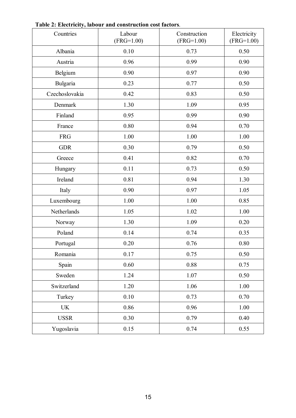| Countries      | Labour<br>$(FRG=1.00)$ | Construction<br>$(FRG=1.00)$ | Electricity<br>$(FRG=1.00)$ |
|----------------|------------------------|------------------------------|-----------------------------|
| Albania        | 0.10                   | 0.73                         | 0.50                        |
| Austria        | 0.96                   | 0.99                         | 0.90                        |
| Belgium        | 0.90                   | 0.97                         | 0.90                        |
| Bulgaria       | 0.23                   | 0.77                         | 0.50                        |
| Czechoslovakia | 0.42                   | 0.83                         | 0.50                        |
| Denmark        | 1.30                   | 1.09                         | 0.95                        |
| Finland        | 0.95                   | 0.99                         | 0.90                        |
| France         | 0.80                   | 0.94                         | 0.70                        |
| <b>FRG</b>     | 1.00                   | 1.00                         | 1.00                        |
| <b>GDR</b>     | 0.30                   | 0.79                         | 0.50                        |
| Greece         | 0.41                   | 0.82                         | 0.70                        |
| Hungary        | 0.11                   | 0.73                         | 0.50                        |
| Ireland        | 0.81                   | 0.94                         | 1.30                        |
| Italy          | 0.90                   | 0.97                         | 1.05                        |
| Luxembourg     | 1.00                   | 1.00                         | 0.85                        |
| Netherlands    | 1.05                   | 1.02                         | 1.00                        |
| Norway         | 1.30                   | 1.09                         | 0.20                        |
| Poland         | 0.14                   | 0.74                         | 0.35                        |
| Portugal       | 0.20                   | 0.76                         | 0.80                        |
| Romania        | 0.17                   | 0.75                         | 0.50                        |
| Spain          | 0.60                   | 0.88                         | 0.75                        |
| Sweden         | 1.24                   | 1.07                         | 0.50                        |
| Switzerland    | 1.20                   | 1.06                         | 1.00                        |
| Turkey         | $0.10\,$               | 0.73                         | 0.70                        |
| <b>UK</b>      | 0.86                   | 0.96                         | 1.00                        |
| <b>USSR</b>    | 0.30                   | 0.79                         | 0.40                        |
| Yugoslavia     | 0.15                   | 0.74                         | 0.55                        |

**Table 2: Electricity, labour and construction cost factors**.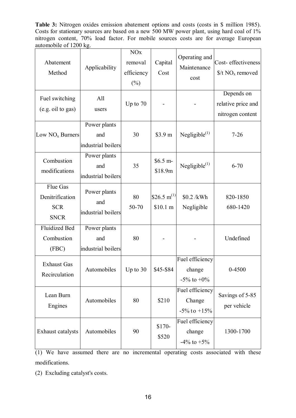**Table 3:** Nitrogen oxides emission abatement options and costs (costs in \$ million 1985). Costs for stationary sources are based on a new 500 MW power plant, using hard coal of 1% nitrogen content, 70% load factor. For mobile sources costs are for average European automobile of 1200 kg.

| Abatement<br>Method                                      | Applicability                             | <b>NO<sub>x</sub></b><br>removal<br>efficiency<br>$(\% )$ | Capital<br>Cost                     | Operating and<br>Maintenance<br>cost           | Cost-effectiveness<br>$\frac{f}{f}$ NO <sub>x</sub> removed |
|----------------------------------------------------------|-------------------------------------------|-----------------------------------------------------------|-------------------------------------|------------------------------------------------|-------------------------------------------------------------|
| Fuel switching<br>(e.g. oil to gas)                      | All<br>users                              | Up to 70                                                  |                                     |                                                | Depends on<br>relative price and<br>nitrogen content        |
| Low $NOx$ Burners                                        | Power plants<br>and<br>industrial boilers | 30                                                        | \$3.9 m                             | Negligible $(1)$                               | $7 - 26$                                                    |
| Combustion<br>modifications                              | Power plants<br>and<br>industrial boilers | 35                                                        | $$6.5 m-$<br>\$18.9m                | Negligible $(1)$                               | $6 - 70$                                                    |
| Flue Gas<br>Denitrification<br><b>SCR</b><br><b>SNCR</b> | Power plants<br>and<br>industrial boilers | 80<br>50-70                                               | \$26.5 m <sup>(1)</sup><br>\$10.1 m | \$0.2 /kWh<br>Negligible                       | 820-1850<br>680-1420                                        |
| <b>Fluidized Bed</b><br>Combustion<br>(FBC)              | Power plants<br>and<br>industrial boilers | 80                                                        |                                     |                                                | Undefined                                                   |
| <b>Exhaust Gas</b><br>Recirculation                      | Automobiles                               | Up to 30                                                  | \$45-\$84                           | Fuel efficiency<br>change<br>$-5\%$ to $+0\%$  | $0 - 4500$                                                  |
| Lean Burn<br>Engines                                     | Automobiles                               | 80                                                        | \$210                               | Fuel efficiency<br>Change<br>$-5\%$ to $+15\%$ | Savings of 5-85<br>per vehicle                              |
| Exhaust catalysts                                        | Automobiles                               | 90                                                        | $$170-$<br>\$520                    | Fuel efficiency<br>change<br>$-4\%$ to $+5\%$  | 1300-1700                                                   |

(1) We have assumed there are no incremental operating costs associated with these modifications.

(2) Excluding catalyst's costs.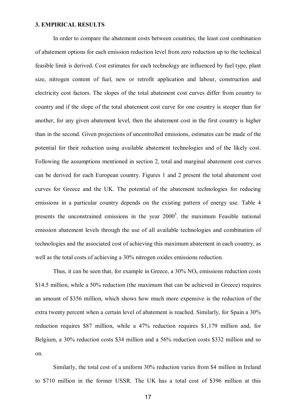#### **3. EMPIRICAL RESULTS**

In order to compare the abatement costs between countries, the least cost combination of abatement options for each emission reduction level from zero reduction up to the technical feasible limit is derived. Cost estimates for each technology are influenced by fuel type, plant size, nitrogen content of fuel, new or retrofit application and labour, construction and electricity cost factors. The slopes of the total abatement cost curves differ from country to country and if the slope of the total abatement cost curve for one country is steeper than for another, for any given abatement level, then the abatement cost in the first country is higher than in the second. Given projections of uncontrolled emissions, estimates can be made of the potential for their reduction using available abatement technologies and of the likely cost. Following the assumptions mentioned in section 2, total and marginal abatement cost curves can be derived for each European country. Figures 1 and 2 present the total abatement cost curves for Greece and the UK. The potential of the abatement technologies for reducing emissions in a particular country depends on the existing pattern of energy use. Table 4 presents the unconstrained emissions in the year  $2000<sup>5</sup>$ . the maximum Feasible national emission abatement levels through the use of all available technologies and combination of technologies and the associated cost of achieving this maximum abatement in each country, as well as the total costs of achieving a 30% nitrogen oxides emissions reduction.

Thus, it can be seen that, for example in Greece, a  $30\%$  NO<sub>x</sub> emissions reduction costs \$14.5 million, while a 50% reduction (the maximum that can be achieved in Greece) requires an amount of \$356 million, which shows how much more expensive is the reduction of the extra twenty percent when a certain level of abatement is reached. Similarly, for Spain a 30% reduction requires \$87 million, while a 47% reduction requires \$1,179 million and, for Belgium, a 30% reduction costs \$34 million and a 56% reduction costs \$332 million and so on.

Similarly, the total cost of a uniform 30% reduction varies from \$4 million in Ireland to \$710 million in the former USSR. The UK has a total cost of \$396 million at this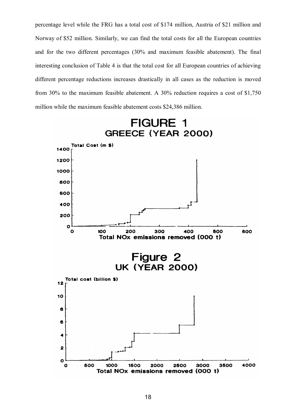percentage level while the FRG has a total cost of \$174 million, Austria of \$21 million and Norway of \$52 million. Similarly, we can find the total costs for all the European countries and for the two different percentages (30% and maximum feasible abatement). The final interesting conclusion of Table 4 is that the total cost for all European countries of achieving different percentage reductions increases drastically in all cases as the reduction is moved from 30% to the maximum feasible abatement. A 30% reduction requires a cost of \$1,750 million while the maximum feasible abatement costs \$24,386 million.

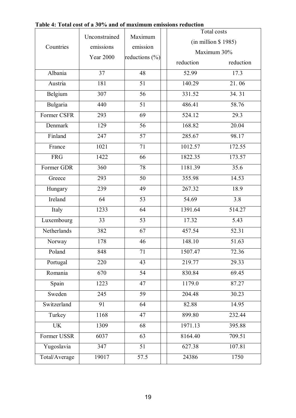|               |                               | Maximum<br>emission | Total costs           |           |
|---------------|-------------------------------|---------------------|-----------------------|-----------|
| Countries     | Unconstrained                 |                     | $(in$ million \$1985) |           |
|               | emissions<br><b>Year 2000</b> |                     | Maximum 30%           |           |
|               |                               | reductions $(\%)$   | reduction             | reduction |
| Albania       | 37                            | 48                  | 52.99                 | 17.3      |
| Austria       | 181                           | $\overline{51}$     | 140.29                | 21.06     |
| Belgium       | 307                           | 56                  | 331.52                | 34.31     |
| Bulgaria      | 440                           | 51                  | 486.41                | 58.76     |
| Former CSFR   | 293                           | 69                  | 524.12                | 29.3      |
| Denmark       | 129                           | 56                  | 168.82                | 20.04     |
| Finland       | 247                           | 57                  | 285.67                | 98.17     |
| France        | 1021                          | 71                  | 1012.57               | 172.55    |
| <b>FRG</b>    | 1422                          | 66                  | 1822.35               | 173.57    |
| Former GDR    | 360                           | 78                  | 1181.39               | 35.6      |
| Greece        | 293                           | 50                  | 355.98                | 14.53     |
| Hungary       | 239                           | 49                  | 267.32                | 18.9      |
| Ireland       | 64                            | 53                  | 54.69                 | 3.8       |
| Italy         | 1233                          | 64                  | 1391.64               | 514.27    |
| Luxembourg    | 33                            | 53                  | 17.32                 | 5.43      |
| Netherlands   | 382                           | 67                  | 457.54                | 52.31     |
| Norway        | 178                           | 46                  | 148.10                | 51.63     |
| Poland        | 848                           | 71                  | 1507.47               | 72.36     |
| Portugal      | 220                           | 43                  | 219.77                | 29.33     |
| Romania       | 670                           | 54                  | 830.84                | 69.45     |
| Spain         | 1223                          | 47                  | 1179.0                | 87.27     |
| Sweden        | 245                           | 59                  | 204.48                | 30.23     |
| Switzerland   | 91                            | 64                  | 82.88                 | 14.95     |
| Turkey        | 1168                          | 47                  | 899.80                | 232.44    |
| <b>UK</b>     | 1309                          | 68                  | 1971.13               | 395.88    |
| Former USSR   | 6037                          | 63                  | 8164.40               | 709.51    |
| Yugoslavia    | 347                           | 51                  | 627.38                | 107.81    |
| Total/Average | 19017                         | 57.5                | 24386                 | 1750      |

#### **Table 4: Total cost of a 30% and of maximum emissions reduction**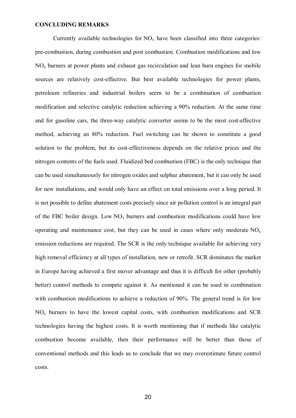#### **CONCLUDING REMARKS**

Currently available technologies for  $NO<sub>x</sub>$  have been classified into three categories: pre-combustion, during combustion and post combustion. Combustion modifications and low  $NO<sub>x</sub>$  burners at power plants and exhaust gas recirculation and lean burn engines for mobile sources are relatively cost-effective. But best available technologies for power plants, petroleum refineries and industrial boilers seem to be a combination of combustion modification and selective catalytic reduction achieving a 90% reduction. At the same time and for gasoline cars, the three-way catalytic converter seems to be the most cost-effective method, achieving an 80% reduction. Fuel switching can be shown to constitute a good solution to the problem, but its cost-effectiveness depends on the relative prices and the nitrogen contents of the fuels used. Fluidized bed combustion (FBC) is the only technique that can be used simultaneously for nitrogen oxides and sulphur abatement, but it can only be used for new installations, and would only have an effect on total emissions over a long period. It is not possible to define abatement costs precisely since air pollution control is an integral part of the FBC boiler design. Low  $NO<sub>x</sub>$  burners and combustion modifications could have low operating and maintenance cost, but they can be used in cases where only moderate  $NO<sub>x</sub>$ emission reductions are required. The SCR is the only technique available for achieving very high removal efficiency at all types of installation, new or retrofit. SCR dominates the market in Europe having achieved a first mover advantage and thus it is difficult for other (probably better) control methods to compete against it. As mentioned it can be used in combination with combustion modifications to achieve a reduction of 90%. The general trend is for low  $NO<sub>x</sub>$  burners to have the lowest capital costs, with combustion modifications and SCR technologies having the highest costs. It is worth mentioning that if methods like catalytic combustion become available, then their performance will be better than those of conventional methods and this leads us to conclude that we may overestimate future control costs.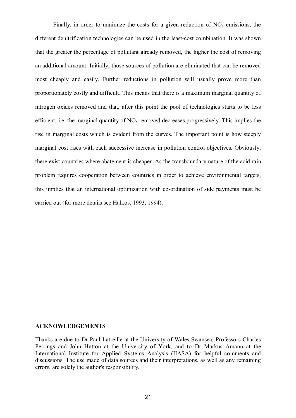Finally, in order to minimize the costs for a given reduction of  $NO<sub>x</sub>$  emissions, the different denitrification technologies can be used in the least-cost combination. It was shown that the greater the percentage of pollutant already removed, the higher the cost of removing an additional amount. Initially, those sources of pollution are eliminated that can be removed most cheaply and easily. Further reductions in pollution will usually prove more than proportionately costly and difficult. This means that there is a maximum marginal quantity of nitrogen oxides removed and that, after this point the pool of technologies starts to be less efficient, i.e. the marginal quantity of  $NO<sub>x</sub>$  removed decreases progressively. This implies the rise in marginal costs which is evident from the curves. The important point is how steeply marginal cost rises with each successive increase in pollution control objectives. Obviously, there exist countries where abatement is cheaper. As the transboundary nature of the acid rain problem requires cooperation between countries in order to achieve environmental targets, this implies that an international optimization with co-ordination of side payments must be carried out (for more details see Halkos, 1993, 1994).

#### **ACKNOWLEDGEMENTS**

Thanks are due to Dr Paul Latreille at the University of Wales Swansea, Professors Charles Perrings and John Hutton at the University of York, and to Dr Markus Amann at the International Institute for Applied Systems Analysis (IIASA) for helpful comments and discussions. The use made of data sources and their interpretations, as well as any remaining errors, are solely the author's responsibility.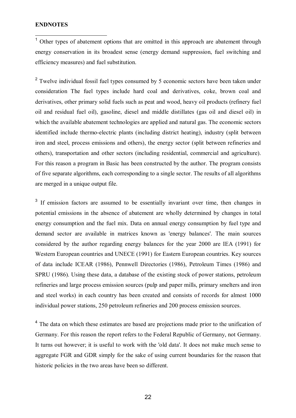#### **ENDNOTES**

 $\overline{\phantom{a}}$ 

 $<sup>1</sup>$  Other types of abatement options that are omitted in this approach are abatement through</sup> energy conservation in its broadest sense (energy demand suppression, fuel switching and efficiency measures) and fuel substitution.

<sup>2</sup> Twelve individual fossil fuel types consumed by 5 economic sectors have been taken under consideration The fuel types include hard coal and derivatives, coke, brown coal and derivatives, other primary solid fuels such as peat and wood, heavy oil products (refinery fuel oil and residual fuel oil), gasoline, diesel and middle distillates (gas oil and diesel oil) in which the available abatement technologies are applied and natural gas. The economic sectors identified include thermo-electric plants (including district heating), industry (split between iron and steel, process emissions and others), the energy sector (split between refineries and others), transportation and other sectors (including residential, commercial and agriculture). For this reason a program in Basic has been constructed by the author. The program consists of five separate algorithms, each corresponding to a single sector. The results of all algorithms are merged in a unique output file.

<sup>3</sup> If emission factors are assumed to be essentially invariant over time, then changes in potential emissions in the absence of abatement are wholly determined by changes in total energy consumption and the fuel mix. Data on annual energy consumption by fuel type and demand sector are available in matrices known as 'energy balances'. The main sources considered by the author regarding energy balances for the year 2000 are IEA (1991) for Western European countries and UNECE (1991) for Eastern European countries. Key sources of data include ICEAR (1986), Pennwell Directories (1986), Petroleum Times (1986) and SPRU (1986). Using these data, a database of the existing stock of power stations, petroleum refineries and large process emission sources (pulp and paper mills, primary smelters and iron and steel works) in each country has been created and consists of records for almost 1000 individual power stations, 250 petroleum refineries and 200 process emission sources.

<sup>4</sup> The data on which these estimates are based are projections made prior to the unification of Germany. For this reason the report refers to the Federal Republic of Germany, not Germany. It turns out however; it is useful to work with the 'old data'. It does not make much sense to aggregate FGR and GDR simply for the sake of using current boundaries for the reason that historic policies in the two areas have been so different.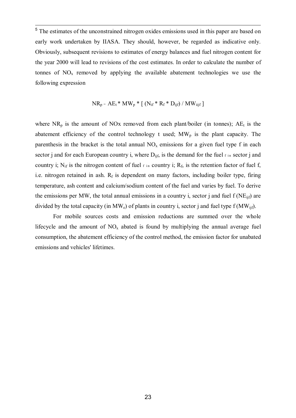<sup>5</sup>The estimates of the unconstrained nitrogen oxides emissions used in this paper are based on early work undertaken by ΙΙASA. They should, however, be regarded as indicative only. Obviously, subsequent revisions to estimates of energy balances and fuel nitrogen content for the year 2000 will lead to revisions of the cost estimates. In order to calculate the number of tonnes of  $NO<sub>x</sub>$  removed by applying the available abatement technologies we use the following expression

$$
NR_p = AE_t * MW_p * [(N_{if} * R_f * D_{ijf}) / MW_{ijf}]
$$

where  $NR_p$  is the amount of NOx removed from each plant/boiler (in tonnes);  $AE_t$  is the abatement efficiency of the control technology t used;  $MW<sub>p</sub>$  is the plant capacity. The parenthesis in the bracket is the total annual  $NO<sub>x</sub>$  emissions for a given fuel type f in each sector j and for each European country i, where  $D_{\text{lift}}$  is the demand for the fuel  $f$  in sector j and country i; N<sub>if</sub> is the nitrogen content of fuel  $f$  in country i;  $R_f$ , is the retention factor of fuel f, i.e. nitrogen retained in ash.  $R_f$  is dependent on many factors, including boiler type, firing temperature, ash content and calcium/sodium content of the fuel and varies by fuel. To derive the emissions per MW, the total annual emissions in a country i, sector j and fuel  $f(NE_{\text{lift}})$  are divided by the total capacity (in  $MW_e$ ) of plants in country i, sector j and fuel type f ( $MW_{\text{iif}}$ ).

For mobile sources costs and emission reductions are summed over the whole lifecycle and the amount of  $NO<sub>x</sub>$  abated is found by multiplying the annual average fuel consumption, the abatement efficiency of the control method, the emission factor for unabated emissions and vehicles' lifetimes.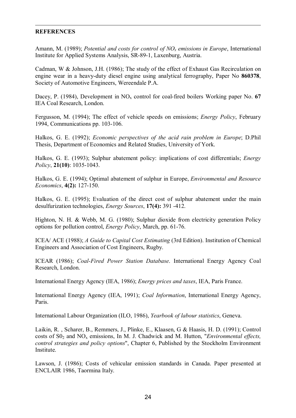#### -**REFERENCES**

Amann, Μ. (1989); *Potential and costs for control of NOx emissions in Europe*, International Institute for Applied Systems Analysis, SR-89-1, Laxenburg, Austria.

Cadman, W & Johnson, J.Η. (1986); The study of the effect of Exhaust Gas Recirculation on engine wear in a heavy-duty diesel engine using analytical ferrography, Paper No **860378**, Society of Automotive Engineers, Wereendale Ρ.A.

Dacey, P. (1984), Development in NO<sub>x</sub> control for coal-fired boilers Working paper No. 67 IEA Coal Research, London.

Fergusson, Μ. (1994); The effect of vehicle speeds on emissions; *Energy Policy*, February 1994, Communications pp. 103-106.

Halkos, G. Ε. (1992); *Economic perspectives of the acid rain problem in Europe*; D.Phil Thesis, Department of Economics and Related Studies, University of York.

Halkos, G. E. (1993); Sulphur abatement policy: implications of cost differentials; *Energy Policy*, **21(10)**: 1035-1043.

Halkos, G. Ε. (1994); Optimal abatement of sulphur in Europe, *Environmental and Resource Economics*, **4(2):** 127-150.

Halkos, G. E. (1995); Evaluation of the direct cost of sulphur abatement under the main desulfurization technologies, *Energy Sources*, **17(4):** 391 -412.

Highton, N. H. & Webb, M. G. (1980); Sulphur dioxide from electricity generation Policy options for pollution control, *Energy Policy*, March, pp. 61-76.

ICEA/ ACE (1988); *A Guide to Capital Cost Estimating* (3rd Edition). Institution of Chemical Engineers and Association of Cost Engineers, Rugby.

ICEAR (1986); *Coal-Fired Power Station Database*. International Energy Agency Coal Research, London.

International Energy Agency (IEA, 1986); *Energy prices and taxes*, IEA, Paris France.

International Energy Agency (IEA, 1991); *Coal Information*, International Energy Agency, Paris.

International Labour Organization (ILO, 1986), *Yearbook of labour statistics*, Geneva.

Laikin, R. , Scharer, Β., Remmers, J., Plinke, Ε., Klaasen, G & Haasis, H. D. (1991); Control costs of S02 and NOx emissions, In Μ. J. Chadwick and Μ. Hutton, "*Environmental effects, control strategies and policy options*", Chapter 6, Published by the Stockholm Environment Institute.

Lawson, J. (1986); Costs of vehicular emission standards in Canada. Paper presented at ENCLAIR 1986, Taormina Italy.